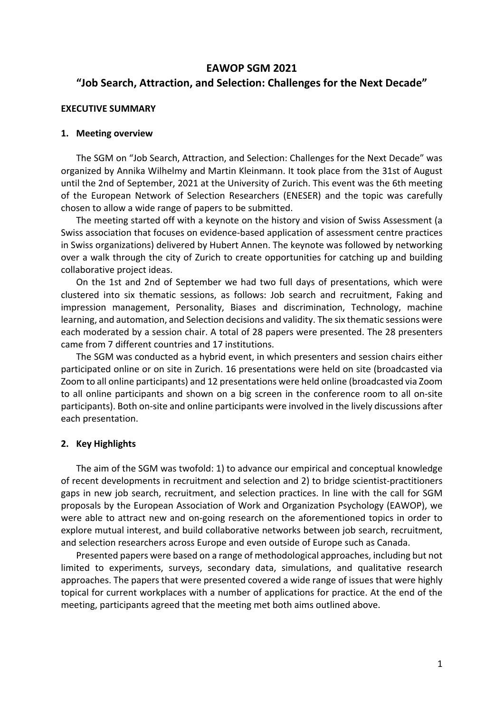### **EAWOP SGM 2021 "Job Search, Attraction, and Selection: Challenges for the Next Decade"**

### **EXECUTIVE SUMMARY**

### **1. Meeting overview**

The SGM on "Job Search, Attraction, and Selection: Challenges for the Next Decade" was organized by Annika Wilhelmy and Martin Kleinmann. It took place from the 31st of August until the 2nd of September, 2021 at the University of Zurich. This event was the 6th meeting of the European Network of Selection Researchers (ENESER) and the topic was carefully chosen to allow a wide range of papers to be submitted.

The meeting started off with a keynote on the history and vision of Swiss Assessment (a Swiss association that focuses on evidence‐based application of assessment centre practices in Swiss organizations) delivered by Hubert Annen. The keynote was followed by networking over a walk through the city of Zurich to create opportunities for catching up and building collaborative project ideas.

On the 1st and 2nd of September we had two full days of presentations, which were clustered into six thematic sessions, as follows: Job search and recruitment, Faking and impression management, Personality, Biases and discrimination, Technology, machine learning, and automation, and Selection decisions and validity. The six thematic sessions were each moderated by a session chair. A total of 28 papers were presented. The 28 presenters came from 7 different countries and 17 institutions.

The SGM was conducted as a hybrid event, in which presenters and session chairs either participated online or on site in Zurich. 16 presentations were held on site (broadcasted via Zoom to all online participants) and 12 presentations were held online (broadcasted via Zoom to all online participants and shown on a big screen in the conference room to all on‐site participants). Both on‐site and online participants were involved in the lively discussions after each presentation.

### **2. Key Highlights**

The aim of the SGM was twofold: 1) to advance our empirical and conceptual knowledge of recent developments in recruitment and selection and 2) to bridge scientist‐practitioners gaps in new job search, recruitment, and selection practices. In line with the call for SGM proposals by the European Association of Work and Organization Psychology (EAWOP), we were able to attract new and on-going research on the aforementioned topics in order to explore mutual interest, and build collaborative networks between job search, recruitment, and selection researchers across Europe and even outside of Europe such as Canada.

Presented papers were based on a range of methodological approaches, including but not limited to experiments, surveys, secondary data, simulations, and qualitative research approaches. The papers that were presented covered a wide range of issues that were highly topical for current workplaces with a number of applications for practice. At the end of the meeting, participants agreed that the meeting met both aims outlined above.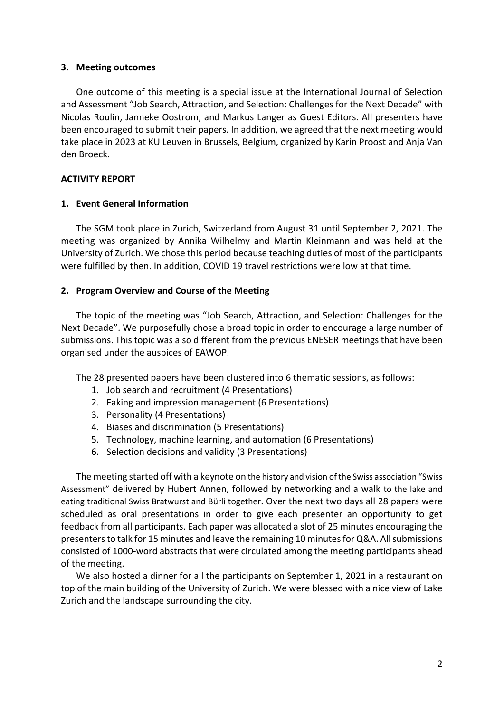### **3. Meeting outcomes**

One outcome of this meeting is a special issue at the International Journal of Selection and Assessment "Job Search, Attraction, and Selection: Challenges for the Next Decade" with Nicolas Roulin, Janneke Oostrom, and Markus Langer as Guest Editors. All presenters have been encouraged to submit their papers. In addition, we agreed that the next meeting would take place in 2023 at KU Leuven in Brussels, Belgium, organized by Karin Proost and Anja Van den Broeck.

### **ACTIVITY REPORT**

### **1. Event General Information**

The SGM took place in Zurich, Switzerland from August 31 until September 2, 2021. The meeting was organized by Annika Wilhelmy and Martin Kleinmann and was held at the University of Zurich. We chose this period because teaching duties of most of the participants were fulfilled by then. In addition, COVID 19 travel restrictions were low at that time.

### **2. Program Overview and Course of the Meeting**

The topic of the meeting was "Job Search, Attraction, and Selection: Challenges for the Next Decade". We purposefully chose a broad topic in order to encourage a large number of submissions. This topic was also different from the previous ENESER meetings that have been organised under the auspices of EAWOP.

The 28 presented papers have been clustered into 6 thematic sessions, as follows:

- 1. Job search and recruitment (4 Presentations)
- 2. Faking and impression management (6 Presentations)
- 3. Personality (4 Presentations)
- 4. Biases and discrimination (5 Presentations)
- 5. Technology, machine learning, and automation (6 Presentations)
- 6. Selection decisions and validity (3 Presentations)

The meeting started off with a keynote on the history and vision of the Swiss association "Swiss Assessment" delivered by Hubert Annen, followed by networking and a walk to the lake and eating traditional Swiss Bratwurst and Bürli together. Over the next two days all 28 papers were scheduled as oral presentations in order to give each presenter an opportunity to get feedback from all participants. Each paper was allocated a slot of 25 minutes encouraging the presenters to talk for 15 minutes and leave the remaining 10 minutes for Q&A. All submissions consisted of 1000‐word abstracts that were circulated among the meeting participants ahead of the meeting.

We also hosted a dinner for all the participants on September 1, 2021 in a restaurant on top of the main building of the University of Zurich. We were blessed with a nice view of Lake Zurich and the landscape surrounding the city.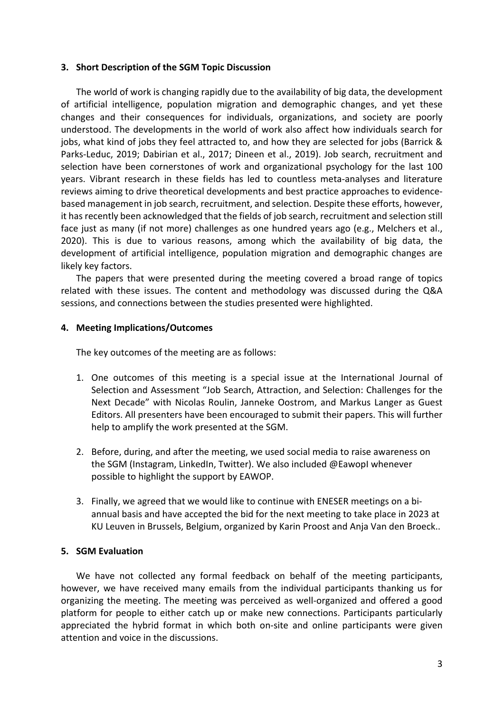### **3. Short Description of the SGM Topic Discussion**

The world of work is changing rapidly due to the availability of big data, the development of artificial intelligence, population migration and demographic changes, and yet these changes and their consequences for individuals, organizations, and society are poorly understood. The developments in the world of work also affect how individuals search for jobs, what kind of jobs they feel attracted to, and how they are selected for jobs (Barrick & Parks‐Leduc, 2019; Dabirian et al., 2017; Dineen et al., 2019). Job search, recruitment and selection have been cornerstones of work and organizational psychology for the last 100 years. Vibrant research in these fields has led to countless meta-analyses and literature reviews aiming to drive theoretical developments and best practice approaches to evidence‐ based management in job search, recruitment, and selection. Despite these efforts, however, it has recently been acknowledged that the fields of job search, recruitment and selection still face just as many (if not more) challenges as one hundred years ago (e.g., Melchers et al., 2020). This is due to various reasons, among which the availability of big data, the development of artificial intelligence, population migration and demographic changes are likely key factors.

The papers that were presented during the meeting covered a broad range of topics related with these issues. The content and methodology was discussed during the Q&A sessions, and connections between the studies presented were highlighted.

### **4. Meeting Implications/Outcomes**

The key outcomes of the meeting are as follows:

- 1. One outcomes of this meeting is a special issue at the International Journal of Selection and Assessment "Job Search, Attraction, and Selection: Challenges for the Next Decade" with Nicolas Roulin, Janneke Oostrom, and Markus Langer as Guest Editors. All presenters have been encouraged to submit their papers. This will further help to amplify the work presented at the SGM.
- 2. Before, during, and after the meeting, we used social media to raise awareness on the SGM (Instagram, LinkedIn, Twitter). We also included @EawopI whenever possible to highlight the support by EAWOP.
- 3. Finally, we agreed that we would like to continue with ENESER meetings on a bi‐ annual basis and have accepted the bid for the next meeting to take place in 2023 at KU Leuven in Brussels, Belgium, organized by Karin Proost and Anja Van den Broeck..

#### **5. SGM Evaluation**

We have not collected any formal feedback on behalf of the meeting participants, however, we have received many emails from the individual participants thanking us for organizing the meeting. The meeting was perceived as well‐organized and offered a good platform for people to either catch up or make new connections. Participants particularly appreciated the hybrid format in which both on-site and online participants were given attention and voice in the discussions.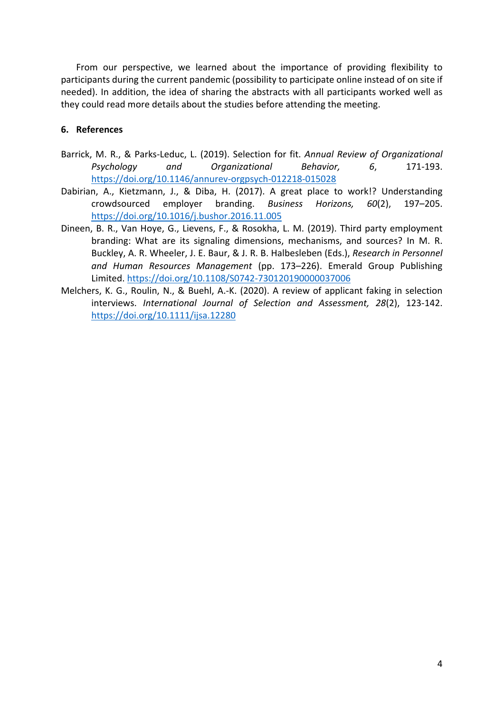From our perspective, we learned about the importance of providing flexibility to participants during the current pandemic (possibility to participate online instead of on site if needed). In addition, the idea of sharing the abstracts with all participants worked well as they could read more details about the studies before attending the meeting.

### **6. References**

- Barrick, M. R., & Parks‐Leduc, L. (2019). Selection for fit. *Annual Review of Organizational Psychology and Organizational Behavior, 6*, 171‐193. https://doi.org/10.1146/annurev‐orgpsych‐012218‐015028
- Dabirian, A., Kietzmann, J., & Diba, H. (2017). A great place to work!? Understanding crowdsourced employer branding. *Business Horizons, 60*(2), 197–205. https://doi.org/10.1016/j.bushor.2016.11.005
- Dineen, B. R., Van Hoye, G., Lievens, F., & Rosokha, L. M. (2019). Third party employment branding: What are its signaling dimensions, mechanisms, and sources? In M. R. Buckley, A. R. Wheeler, J. E. Baur, & J. R. B. Halbesleben (Eds.), *Research in Personnel and Human Resources Management* (pp. 173–226). Emerald Group Publishing Limited. https://doi.org/10.1108/S0742‐730120190000037006
- Melchers, K. G., Roulin, N., & Buehl, A.‐K. (2020). A review of applicant faking in selection interviews. *International Journal of Selection and Assessment, 28*(2), 123‐142. https://doi.org/10.1111/ijsa.12280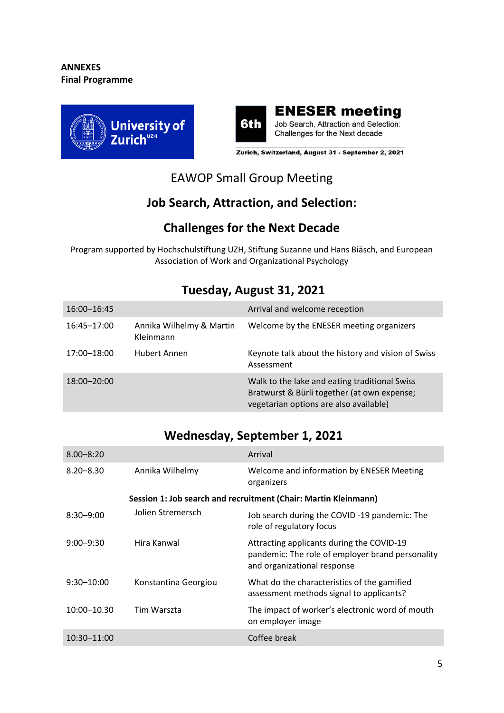



Zurich, Switzerland, August 31 - September 2, 2021

# EAWOP Small Group Meeting

## **Job Search, Attraction, and Selection:**

## **Challenges for the Next Decade**

Program supported by Hochschulstiftung UZH, Stiftung Suzanne und Hans Biäsch, and European Association of Work and Organizational Psychology

| 16:00-16:45 |                                       | Arrival and welcome reception                                                                                                          |
|-------------|---------------------------------------|----------------------------------------------------------------------------------------------------------------------------------------|
| 16:45-17:00 | Annika Wilhelmy & Martin<br>Kleinmann | Welcome by the ENESER meeting organizers                                                                                               |
| 17:00-18:00 | Hubert Annen                          | Keynote talk about the history and vision of Swiss<br>Assessment                                                                       |
| 18:00-20:00 |                                       | Walk to the lake and eating traditional Swiss<br>Bratwurst & Bürli together (at own expense;<br>vegetarian options are also available) |

### **Tuesday, August 31, 2021**

# **Wednesday, September 1, 2021**

| $8.00 - 8:20$                                                   |                      | Arrival                                                                                                                      |  |
|-----------------------------------------------------------------|----------------------|------------------------------------------------------------------------------------------------------------------------------|--|
| $8.20 - 8.30$                                                   | Annika Wilhelmy      | Welcome and information by ENESER Meeting<br>organizers                                                                      |  |
| Session 1: Job search and recruitment (Chair: Martin Kleinmann) |                      |                                                                                                                              |  |
| $8:30 - 9:00$                                                   | Jolien Stremersch    | Job search during the COVID-19 pandemic: The<br>role of regulatory focus                                                     |  |
| $9:00 - 9:30$                                                   | Hira Kanwal          | Attracting applicants during the COVID-19<br>pandemic: The role of employer brand personality<br>and organizational response |  |
| $9:30 - 10:00$                                                  | Konstantina Georgiou | What do the characteristics of the gamified<br>assessment methods signal to applicants?                                      |  |
| 10:00-10.30                                                     | Tim Warszta          | The impact of worker's electronic word of mouth<br>on employer image                                                         |  |
| $10:30 - 11:00$                                                 |                      | Coffee break                                                                                                                 |  |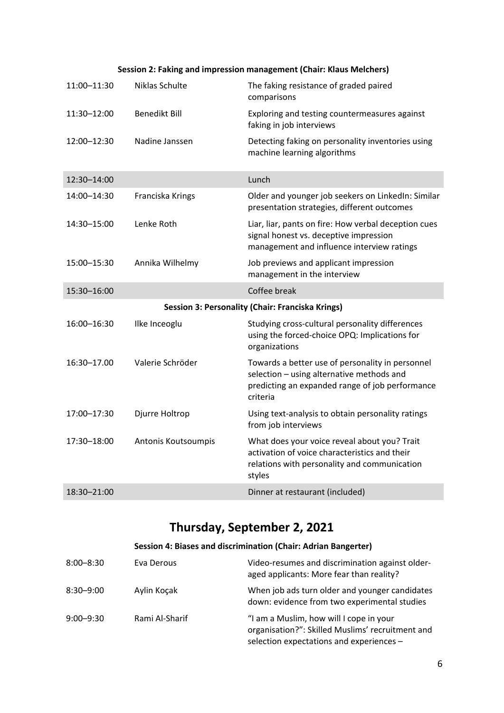#### **Session 2: Faking and impression management (Chair: Klaus Melchers)**

| 11:00-11:30 | Niklas Schulte       | The faking resistance of graded paired<br>comparisons                                                                                                        |
|-------------|----------------------|--------------------------------------------------------------------------------------------------------------------------------------------------------------|
| 11:30-12:00 | <b>Benedikt Bill</b> | Exploring and testing countermeasures against<br>faking in job interviews                                                                                    |
| 12:00-12:30 | Nadine Janssen       | Detecting faking on personality inventories using<br>machine learning algorithms                                                                             |
| 12:30-14:00 |                      | Lunch                                                                                                                                                        |
| 14:00-14:30 | Franciska Krings     | Older and younger job seekers on LinkedIn: Similar<br>presentation strategies, different outcomes                                                            |
| 14:30-15:00 | Lenke Roth           | Liar, liar, pants on fire: How verbal deception cues<br>signal honest vs. deceptive impression<br>management and influence interview ratings                 |
| 15:00-15:30 | Annika Wilhelmy      | Job previews and applicant impression<br>management in the interview                                                                                         |
| 15:30-16:00 |                      | Coffee break                                                                                                                                                 |
|             |                      | Session 3: Personality (Chair: Franciska Krings)                                                                                                             |
| 16:00-16:30 | Ilke Inceoglu        | Studying cross-cultural personality differences<br>using the forced-choice OPQ: Implications for<br>organizations                                            |
| 16:30-17.00 | Valerie Schröder     | Towards a better use of personality in personnel<br>selection - using alternative methods and<br>predicting an expanded range of job performance<br>criteria |
| 17:00-17:30 | Djurre Holtrop       | Using text-analysis to obtain personality ratings<br>from job interviews                                                                                     |
| 17:30-18:00 | Antonis Koutsoumpis  | What does your voice reveal about you? Trait<br>activation of voice characteristics and their                                                                |
|             |                      | relations with personality and communication<br>styles                                                                                                       |

# **Thursday, September 2, 2021**

### **Session 4: Biases and discrimination (Chair: Adrian Bangerter)**

| $8:00 - 8:30$ | Eva Derous     | Video-resumes and discrimination against older-<br>aged applicants: More fear than reality?                                             |
|---------------|----------------|-----------------------------------------------------------------------------------------------------------------------------------------|
| $8:30 - 9:00$ | Aylin Koçak    | When job ads turn older and younger candidates<br>down: evidence from two experimental studies                                          |
| $9:00 - 9:30$ | Rami Al-Sharif | "I am a Muslim, how will I cope in your<br>organisation?": Skilled Muslims' recruitment and<br>selection expectations and experiences - |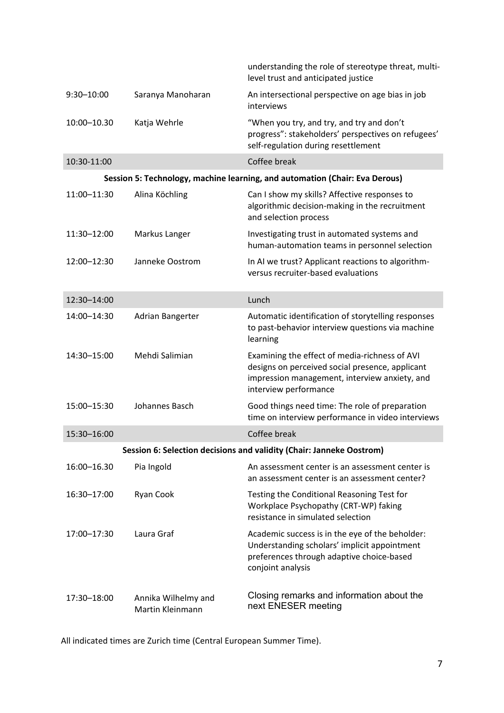|                                                                      |                                         | understanding the role of stereotype threat, multi-<br>level trust and anticipated justice                                                                                 |  |  |
|----------------------------------------------------------------------|-----------------------------------------|----------------------------------------------------------------------------------------------------------------------------------------------------------------------------|--|--|
| $9:30 - 10:00$                                                       | Saranya Manoharan                       | An intersectional perspective on age bias in job<br>interviews                                                                                                             |  |  |
| 10:00-10.30                                                          | Katja Wehrle                            | "When you try, and try, and try and don't<br>progress": stakeholders' perspectives on refugees'<br>self-regulation during resettlement                                     |  |  |
| 10:30-11:00                                                          |                                         | Coffee break                                                                                                                                                               |  |  |
|                                                                      |                                         | Session 5: Technology, machine learning, and automation (Chair: Eva Derous)                                                                                                |  |  |
| 11:00-11:30                                                          | Alina Köchling                          | Can I show my skills? Affective responses to<br>algorithmic decision-making in the recruitment<br>and selection process                                                    |  |  |
| 11:30-12:00                                                          | Markus Langer                           | Investigating trust in automated systems and<br>human-automation teams in personnel selection                                                                              |  |  |
| 12:00-12:30                                                          | Janneke Oostrom                         | In AI we trust? Applicant reactions to algorithm-<br>versus recruiter-based evaluations                                                                                    |  |  |
| 12:30-14:00                                                          |                                         | Lunch                                                                                                                                                                      |  |  |
| 14:00-14:30                                                          | Adrian Bangerter                        | Automatic identification of storytelling responses<br>to past-behavior interview questions via machine<br>learning                                                         |  |  |
| 14:30-15:00                                                          | Mehdi Salimian                          | Examining the effect of media-richness of AVI<br>designs on perceived social presence, applicant<br>impression management, interview anxiety, and<br>interview performance |  |  |
| 15:00-15:30                                                          | Johannes Basch                          | Good things need time: The role of preparation<br>time on interview performance in video interviews                                                                        |  |  |
| 15:30-16:00                                                          |                                         | Coffee break                                                                                                                                                               |  |  |
| Session 6: Selection decisions and validity (Chair: Janneke Oostrom) |                                         |                                                                                                                                                                            |  |  |
| 16:00-16.30                                                          | Pia Ingold                              | An assessment center is an assessment center is<br>an assessment center is an assessment center?                                                                           |  |  |
| 16:30-17:00                                                          | Ryan Cook                               | Testing the Conditional Reasoning Test for<br>Workplace Psychopathy (CRT-WP) faking<br>resistance in simulated selection                                                   |  |  |
| 17:00-17:30                                                          | Laura Graf                              | Academic success is in the eye of the beholder:<br>Understanding scholars' implicit appointment<br>preferences through adaptive choice-based<br>conjoint analysis          |  |  |
| 17:30-18:00                                                          | Annika Wilhelmy and<br>Martin Kleinmann | Closing remarks and information about the<br>next ENESER meeting                                                                                                           |  |  |

All indicated times are Zurich time (Central European Summer Time).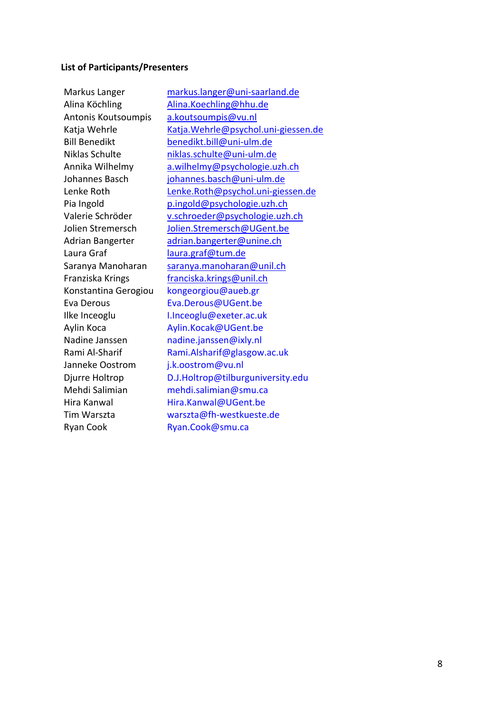#### **List of Participants/Presenters**

Alina Köchling Malina.Koechling@hhu.de Antonis Koutsoumpis a.koutsoumpis@vu.nl Laura Graf laura.graf@tum.de Franziska Krings franciska.krings@unil.ch Konstantina Gerogiou kongeorgiou@aueb.gr Eva Derous Eva.Derous@UGent.be Ilke Inceoglu I.Inceoglu@exeter.ac.uk Aylin Koca Aylin.Kocak@UGent.be Nadine Janssen madine.janssen@ixly.nl Janneke Oostrom i.k.oostrom@vu.nl Mehdi Salimian mehdi.salimian@smu.ca Hira Kanwal **Hira.Kanwal@UGent.be** Ryan Cook Ryan.Cook@smu.ca

Markus Langer markus.langer@uni-saarland.de Katja Wehrle 
Katja.Wehrle@psychol.uni-giessen.de Bill Benedikt benedikt.bill@uni-ulm.de Niklas Schulte niklas.schulte@uni‐ulm.de Annika Wilhelmy a.wilhelmy@psychologie.uzh.ch Johannes Basch johannes.basch@uni-ulm.de Lenke Roth Lenke.Roth@psychol.uni‐giessen.de Pia Ingold **p.ingold@psychologie.uzh.ch** Valerie Schröder v.schroeder@psychologie.uzh.ch Jolien Stremersch Jolien.Stremersch@UGent.be Adrian Bangerter adrian.bangerter@unine.ch Saranya Manoharan saranya.manoharan@unil.ch Rami Al-Sharif Rami.Alsharif@glasgow.ac.uk Djurre Holtrop **D.J.Holtrop@tilburguniversity.edu** Tim Warszta warszta@fh‐westkueste.de